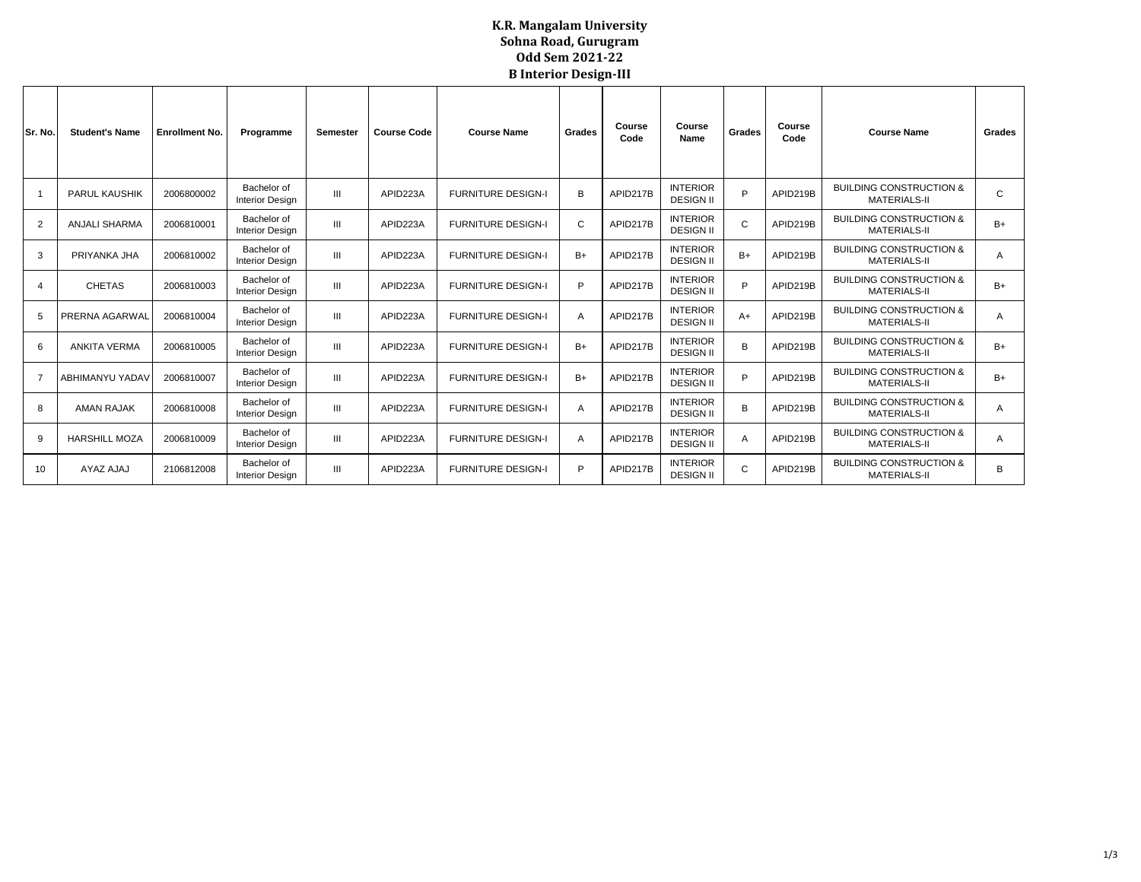## **K.R. Mangalam University Sohna Road, Gurugram Odd Sem 2021-22 B Interior Design-III**

| Sr. No.        | <b>Student's Name</b> | <b>Enrollment No.</b> | Programme                             | Semester       | <b>Course Code</b> | <b>Course Name</b>        | Grades         | Course<br>Code | Course<br>Name                      | Grades | Course<br>Code | <b>Course Name</b>                                        | Grades |
|----------------|-----------------------|-----------------------|---------------------------------------|----------------|--------------------|---------------------------|----------------|----------------|-------------------------------------|--------|----------------|-----------------------------------------------------------|--------|
|                | <b>PARUL KAUSHIK</b>  | 2006800002            | Bachelor of<br><b>Interior Design</b> | $\mathbf{m}$   | APID223A           | <b>FURNITURE DESIGN-I</b> | B              | APID217B       | <b>INTERIOR</b><br><b>DESIGN II</b> | D      | APID219B       | <b>BUILDING CONSTRUCTION &amp;</b><br><b>MATERIALS-II</b> | C      |
| $\overline{2}$ | <b>ANJALI SHARMA</b>  | 2006810001            | Bachelor of<br><b>Interior Design</b> | $\mathbf{m}$   | APID223A           | <b>FURNITURE DESIGN-I</b> | C              | APID217B       | <b>INTERIOR</b><br><b>DESIGN II</b> | C      | APID219B       | <b>BUILDING CONSTRUCTION &amp;</b><br><b>MATERIALS-II</b> | $B+$   |
| 3              | PRIYANKA JHA          | 2006810002            | Bachelor of<br><b>Interior Design</b> | $\mathbf{m}$   | APID223A           | <b>FURNITURE DESIGN-I</b> | $B+$           | APID217B       | <b>INTERIOR</b><br><b>DESIGN II</b> | $B+$   | APID219B       | <b>BUILDING CONSTRUCTION &amp;</b><br><b>MATERIALS-II</b> | A      |
| 4              | <b>CHETAS</b>         | 2006810003            | Bachelor of<br><b>Interior Design</b> | $\mathbf{m}$   | APID223A           | <b>FURNITURE DESIGN-I</b> | P              | APID217B       | <b>INTERIOR</b><br><b>DESIGN II</b> | D      | APID219B       | <b>BUILDING CONSTRUCTION &amp;</b><br><b>MATERIALS-II</b> | $B+$   |
| 5              | PRERNA AGARWAL        | 2006810004            | Bachelor of<br><b>Interior Design</b> | $\mathbf{m}$   | APID223A           | <b>FURNITURE DESIGN-I</b> | $\overline{A}$ | APID217B       | <b>INTERIOR</b><br><b>DESIGN II</b> | $A+$   | APID219B       | <b>BUILDING CONSTRUCTION &amp;</b><br><b>MATERIALS-II</b> | A      |
| 6              | <b>ANKITA VERMA</b>   | 2006810005            | Bachelor of<br><b>Interior Design</b> | $\mathbf{III}$ | APID223A           | <b>FURNITURE DESIGN-I</b> | $B+$           | APID217B       | <b>INTERIOR</b><br><b>DESIGN II</b> | B      | APID219B       | <b>BUILDING CONSTRUCTION &amp;</b><br><b>MATERIALS-II</b> | $B+$   |
| $\overline{7}$ | ABHIMANYU YADAV       | 2006810007            | Bachelor of<br><b>Interior Design</b> | Ш              | APID223A           | <b>FURNITURE DESIGN-I</b> | $B+$           | APID217B       | <b>INTERIOR</b><br><b>DESIGN II</b> | P      | APID219B       | <b>BUILDING CONSTRUCTION &amp;</b><br><b>MATERIALS-II</b> | $B+$   |
| 8              | <b>AMAN RAJAK</b>     | 2006810008            | Bachelor of<br><b>Interior Design</b> | Ш              | APID223A           | <b>FURNITURE DESIGN-I</b> | $\overline{A}$ | APID217B       | <b>INTERIOR</b><br><b>DESIGN II</b> | B      | APID219B       | <b>BUILDING CONSTRUCTION &amp;</b><br><b>MATERIALS-II</b> | А      |
| 9              | <b>HARSHILL MOZA</b>  | 2006810009            | Bachelor of<br><b>Interior Design</b> | $\mathbf{m}$   | APID223A           | <b>FURNITURE DESIGN-I</b> | A              | APID217B       | <b>INTERIOR</b><br><b>DESIGN II</b> | A      | APID219B       | <b>BUILDING CONSTRUCTION &amp;</b><br><b>MATERIALS-II</b> | A      |
| 10             | AYAZ AJAJ             | 2106812008            | Bachelor of<br><b>Interior Design</b> | Ш              | APID223A           | <b>FURNITURE DESIGN-I</b> | P              | APID217B       | <b>INTERIOR</b><br><b>DESIGN II</b> | C      | APID219B       | <b>BUILDING CONSTRUCTION &amp;</b><br><b>MATERIALS-II</b> | B      |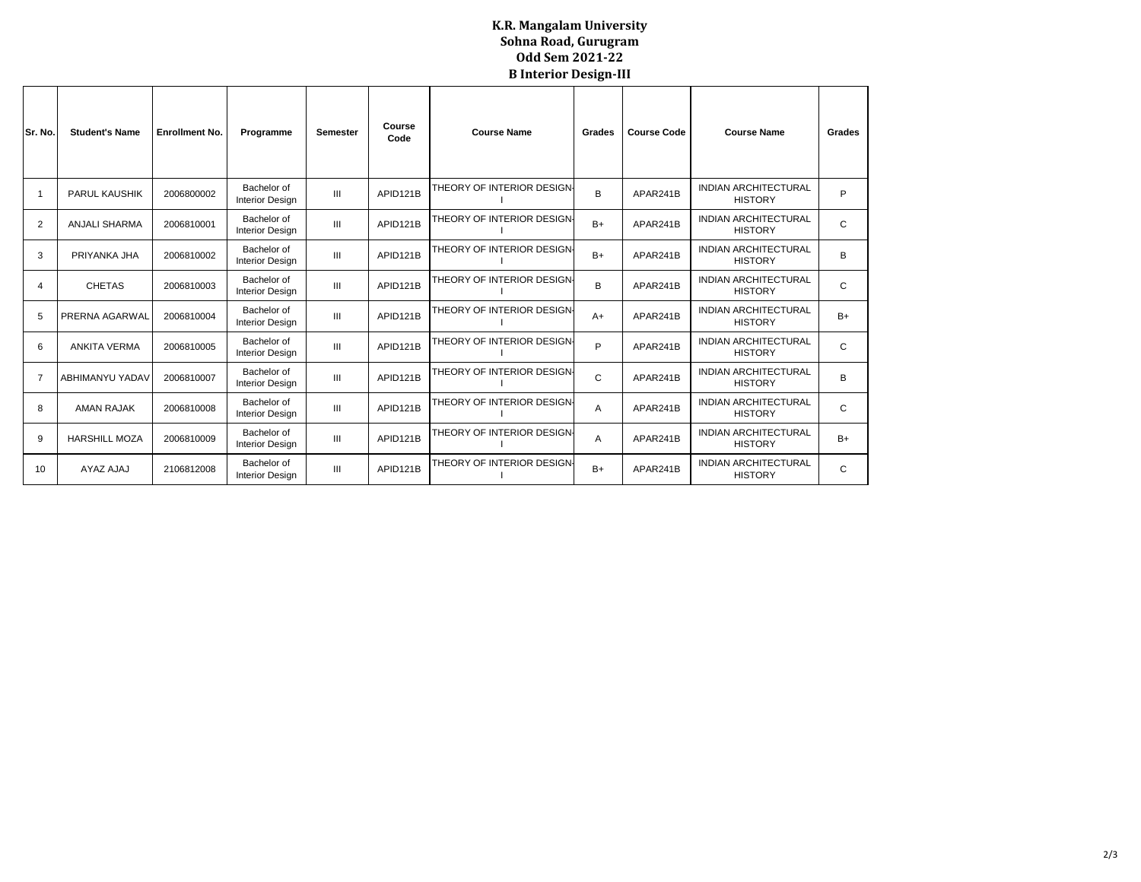## **K.R. Mangalam University Sohna Road, Gurugram Odd Sem 2021-22 B Interior Design-III**

| Sr. No.        | <b>Student's Name</b> | <b>Enrollment No.</b><br>Programme |                                       | <b>Semester</b> | Course<br>Code | <b>Course Name</b>         | Grades | <b>Course Code</b> | <b>Course Name</b>                            | Grades |
|----------------|-----------------------|------------------------------------|---------------------------------------|-----------------|----------------|----------------------------|--------|--------------------|-----------------------------------------------|--------|
|                | <b>PARUL KAUSHIK</b>  | 2006800002                         | Bachelor of<br><b>Interior Design</b> | III             | APID121B       | THEORY OF INTERIOR DESIGN- | B      | APAR241B           | <b>INDIAN ARCHITECTURAL</b><br><b>HISTORY</b> | P      |
| 2              | <b>ANJALI SHARMA</b>  | 2006810001                         | Bachelor of<br><b>Interior Design</b> | Ш               | APID121B       | THEORY OF INTERIOR DESIGN- | $B+$   | APAR241B           | <b>INDIAN ARCHITECTURAL</b><br><b>HISTORY</b> | C      |
| 3              | PRIYANKA JHA          | 2006810002                         | Bachelor of<br><b>Interior Design</b> | $\mathbf{III}$  | APID121B       | THEORY OF INTERIOR DESIGN- | $B+$   | APAR241B           | <b>INDIAN ARCHITECTURAL</b><br><b>HISTORY</b> | B      |
| 4              | <b>CHETAS</b>         | 2006810003                         | Bachelor of<br><b>Interior Design</b> | Ш               | APID121B       | THEORY OF INTERIOR DESIGN- | B      | APAR241B           | <b>INDIAN ARCHITECTURAL</b><br><b>HISTORY</b> | C      |
| 5              | PRERNA AGARWAL        | 2006810004                         | Bachelor of<br><b>Interior Design</b> | III             | APID121B       | THEORY OF INTERIOR DESIGN- | $A+$   | APAR241B           | <b>INDIAN ARCHITECTURAL</b><br><b>HISTORY</b> | $B+$   |
| 6              | <b>ANKITA VERMA</b>   | 2006810005                         | Bachelor of<br><b>Interior Design</b> | III             | APID121B       | THEORY OF INTERIOR DESIGN- | P      | APAR241B           | <b>INDIAN ARCHITECTURAL</b><br><b>HISTORY</b> | C      |
| $\overline{7}$ | ABHIMANYU YADAV       | 2006810007                         | Bachelor of<br><b>Interior Design</b> | $\mathbf{III}$  | APID121B       | THEORY OF INTERIOR DESIGN- | C      | APAR241B           | <b>INDIAN ARCHITECTURAL</b><br><b>HISTORY</b> | B      |
| 8              | <b>AMAN RAJAK</b>     | 2006810008                         | Bachelor of<br><b>Interior Design</b> | III             | APID121B       | THEORY OF INTERIOR DESIGN- | A      | APAR241B           | <b>INDIAN ARCHITECTURAL</b><br><b>HISTORY</b> | C      |
| 9              | <b>HARSHILL MOZA</b>  | 2006810009                         | Bachelor of<br><b>Interior Design</b> | $\mathbf{III}$  | APID121B       | THEORY OF INTERIOR DESIGN- | A      | APAR241B           | <b>INDIAN ARCHITECTURAL</b><br><b>HISTORY</b> | $B+$   |
| 10             | AYAZ AJAJ             | 2106812008                         | Bachelor of<br><b>Interior Design</b> | III             | APID121B       | THEORY OF INTERIOR DESIGN- | $B+$   | APAR241B           | <b>INDIAN ARCHITECTURAL</b><br><b>HISTORY</b> | C      |